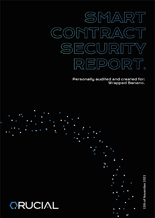

Personally audited and created for: Wrapped Banano.



11th of November 2021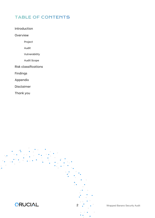# TABLE OF CONTENTS

Introduction

Overview

Project

Audit

Vulnerability

Audit Scope

Risk classifications

Findings

Appendix

Disclaimer

Thank you



**2** . Wrapped Banano Security Audit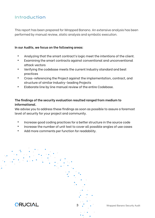# Introduction

This report has been prepared for Wrapped Banano. An extensive analysis has been performed by manual review, static analysis and symbolic execution.

#### **In our Audits, we focus on the following areas:**

- Analyzing that the smart contract's logic meet the intentions of the client.
- Examining the smart contracts against conventional and unconventional attack vectors
- Verifying the codebase meets the current Industry standard and best practices
- Cross-referencing the Project against the implementation, contract, and structure of similar Industry-leading Projects
- Elaborate line by line manual review of the entire Codebase.

## **The findings of the security evaluation resulted ranged from medium to informational.**

We advise you to address these findings as soon as possible to assure a foremost level of security for your project and community.

- Increase good coding practices for a better structure in the source code
- Increase the number of unit test to cover all possible angles of use cases
- Add more comments per function for readability.



**3** . **• • Wrapped Banano Security Audit**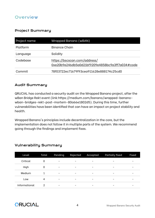## **Overview**

## Project Summary

| Project name | Wrapped Banano (wBAN)                                                           |
|--------------|---------------------------------------------------------------------------------|
| Platform     | Binance Chain                                                                   |
| Language     | Solidity                                                                        |
| Codebase     | https://bscscan.com/address/<br>0xe20b9e246db5a0d21bf9209e4858bc9a3ff7a034#code |
| Commit       | 78f03722ec71679f93ceg911628e888174c25cd0                                        |

## Audit Summary

QRUCIAL has conducted a security audit on the Wrapped Banano project, after the wBan Bridge Rekt event (link:https://medium.com/banano/wrapped-bananowban-bridges-rekt-post-mortem-80a66e1802d5). During this time, further vulnerabilities have been identified that can have an impact on project stability and health.

Wrapped Banano's principles include decentralization in the core, but the implementation does not follow it in multiple parts of the system. We recommend going through the findings and implement fixes.

| Level         | Total | Pending                  | Rejected                 | Accepted                 | <b>Partially fixed</b> | Fixed |
|---------------|-------|--------------------------|--------------------------|--------------------------|------------------------|-------|
| Critical      | 0     | $\overline{\phantom{a}}$ | $\overline{\phantom{0}}$ | $\qquad \qquad$          |                        | -     |
| High          | 0     | -                        | -                        | -                        | -                      | -     |
| Medium        | 1     | -                        | -                        | $\overline{\phantom{a}}$ | -                      | -     |
| Low           | 4     | -                        | $\overline{\phantom{0}}$ | -                        |                        | -     |
| Informational | 2     | $\overline{\phantom{m}}$ | $\overline{\phantom{0}}$ | $\qquad \qquad$          |                        | -     |

### Vulnerability Summary

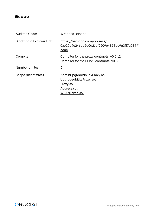## **Scope**

| Audited Code:                    | Wrapped Banano                                                                                       |
|----------------------------------|------------------------------------------------------------------------------------------------------|
| <b>Blockchain Explorer Link:</b> | https://bscscan.com/address/<br>0xe20b9e246db5a0d21bf9209e4858bc9a3ff7a034#<br>code                  |
| Compiler:                        | Compiler for the proxy contracts: v0.6.12<br>Compiler for the BEP20 contracts: v0.8.0                |
| Number of files:                 | 5                                                                                                    |
| Scope (list of files)            | AdminUpgradeabilityProxy.sol<br>UpgradeabilityProxy.sol<br>Proxy.sol<br>Address.sol<br>WBANToken.sol |

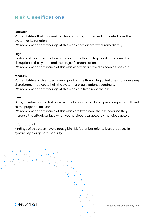# Risk Classifications

#### **Critical:**

Vulnerabilities that can lead to a loss of funds, impairment, or control over the system or its function.

We recommend that findings of this classification are fixed immediately.

#### **High:**

Findings of this classification can impact the flow of logic and can cause direct disruption in the system and the project's organization.

We recommend that issues of this classification are fixed as soon as possible.

#### **Medium:**

Vulnerabilities of this class have impact on the flow of logic, but does not cause any disturbance that would halt the system or organizational continuity. We recommend that findings of this class are fixed nonetheless.

#### **Low:**

Bugs, or vulnerability that have minimal impact and do not pose a significant threat to the project or its users.

We recommend that issues of this class are fixed nonetheless because they increase the attack surface when your project is targeted by malicious actors.

#### **Informational:**

Findings of this class have a negligible risk factor but refer to best practices in syntax, style or general security.



**6** . . . **Wrapped Banano Security Audit**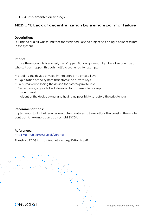— BEP20 implementation findings —

## MEDIUM: Lack of decentralization by a single point of failure

#### **Description:**

During the audit it was found that the Wrapped Banano project has a single point of failure in the system.

#### **Impact:**

In case the account is breached, the Wrapped Banano project might be taken down as a whole. It can happen through multiple scenarios, for example:

- Stealing the device physically that stores the private keys
- Exploitation of the system that stores the private keys
- By human error, losing the device that stores private keys
- System error, e.g. ssd/disk failure and lack of useable backup
- Insider threat
- Incident of the device owner and having no possibility to restore the private keys

#### **Recommendations:**

Implement a logic that requires multiple signatures to take actions like pausing the whole contract. An example can be threshold ESCDA.

#### **References:**

htt[ps://github.com/Qrucial/Voronoi](https://github.com/Qrucial/Voronoi)

Threshold ECDSA: htt[ps://eprint.iacr.org/2019/114.pdf](https://eprint.iacr.org/2019/114.pdf)



**7** Wrapped Banano Security Audit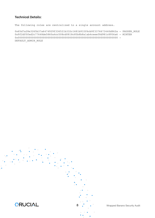The following roles are centralized to a single account address.

0x65d7a28e3265b37a6474929f336521b332c1681b933f6cb9f3376673440d862a - PAUSER\_ROLE 0x9f2df0fed2c77648de5860a4cc508cd0818c85b8b8a1ab4ceeef8d981c8956a6 - MINTER 0x0000000000000000000000000000000000000000000000000000000000000000 - DEFAULT\_ADMIN\_ROLE

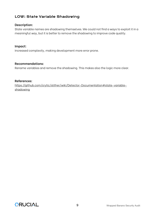## LOW: State Variable Shadowing

#### **Description:**

State variable names are shadowing themselves. We could not find a ways to exploit it in a meaningful way, but it is better to remove the shadowing to improve code quality.

#### **Impact:**

Increased complexity, making development more error prone.

#### **Recommendations:**

Rename variables and remove the shadowing. This makes also the logic more clear.

#### **References:**

htt[ps://github.com/crytic/slither/wiki/Detector-Documentation#state-variable](https://github.com/crytic/slither/wiki/Detector-Documentation#state-variable-shadowing)[shadowing](https://github.com/crytic/slither/wiki/Detector-Documentation#state-variable-shadowing)

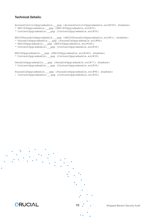```
AccessControlUpgradeable.__gap (AccessControlUpgradeable.sol#259) shadows:
- ERC165Upgradeable. gap (ERC165Upgradeable.sol#35)
- ContextUpgradeable.__gap (ContextUpgradeable.sol#30)
ERC20PausableUpgradeable.__gap (ERC20PausableUpgradeable.sol#41) shadows:
- PausableUpgradeable.__gap (PausableUpgradeable.sol#96)
- ERC20Upgradeable.__gap (ERC20Upgradeable.sol#360)
- ContextUpgradeable. gap (ContextUpgradeable.sol#30)
ERC20Upgradeable.__gap (ERC20Upgradeable.sol#360) shadows:
- ContextUpgradeable.__gap (ContextUpgradeable.sol#30)
OwnableUpgradeable.__gap (OwnableUpgradeable.sol#77) shadows:
- ContextUpgradeable.__gap (ContextUpgradeable.sol#30)
PausableUpgradeable. gap (PausableUpgradeable.sol#96) shadows:
- ContextUpgradeable. gap (ContextUpgradeable.sol#30)
```


10 . Wrapped Banano Security Audit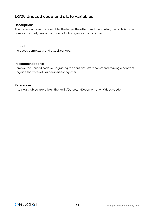## LOW: Unused code and state variables

#### **Description:**

The more functions are available, the larger the attack surface is. Also, the code is more complex by that, hence the chance for bugs, errors are increased.

#### **Impact:**

Increased complexity and attack surface.

#### **Recommendations:**

Remove the unused code by upgrading the contract. We recommend making a contract upgrade that fixes all vulnerabilities together.

#### **References:**

htt[ps://github.com/crytic/slither/wiki/Detector-Documentation#dead-code](https://github.com/crytic/slither/wiki/Detector-Documentation#dead-code)

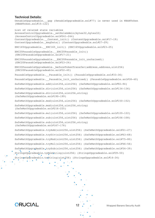OwnableUpgradeable. gap (OwnableUpgradeable.sol#77) is never used in WBANToken (WBANToken.sol#15-122)

```
List of related state variables
AccessControlUpgradeable. setRoleAdmin(bytes32,bytes32)
(AccessControlUpgradeable.sol#241-244)
ContextUpgradeable.__Context_init() (ContextUpgradeable.sol#17-19)
ContextUpgradeable._msgData() (ContextUpgradeable.sol#27-29)
ERC165Upgradeable. ERC165_init() (ERC165Upgradeable.sol#23-25)
ERC20PausableUpgradeable. ERC20Pausable init()
(ERC20PausableUpgradeable.sol#17-21)
ERC20PausableUpgradeable.__ERC20Pausable_init_unchained() 
(ERC20PausableUpgradeable.sol#23-24)
ERC20PausableUpgradeable._beforeTokenTransfer(address,address,uint256) 
(ERC20PausableUpgradeable.sol#32-40)
PausableUpgradeable. Pausable init() (PausableUpgradeable.sol#33-36)
PausableUpgradeable.__Pausable_init_unchained() (PausableUpgradeable.sol#38-40)
SafeMathUpgradeable.add(uint256,uint256) (SafeMathUpgradeable.sol#92-94)
SafeMathUpgradeable.div(uint256,uint256) (SafeMathUpgradeable.sol#134-136)
SafeMathUpgradeable.div(uint256,uint256,string)
(SafeMathUpgradeable.sol#190-199)
SafeMathUpgradeable.mod(uint256,uint256) (SafeMathUpgradeable.sol#150-152)
SafeMathUpgradeable.mod(uint256,uint256,string)
(SafeMathUpgradeable.sol#216-225)
SafeMathUpgradeable.mul(uint256,uint256) (SafeMathUpgradeable.sol#120-122)
SafeMathUpgradeable.sub(uint256,uint256) (SafeMathUpgradeable.sol#106-108)
SafeMathUpgradeable.sub(uint256,uint256,string)
(SafeMathUpgradeable.sol#167-176)
SafeMathUpgradeable.tryAdd(uint256,uint256) (SafeMathUpgradeable.sol#21-27)
SafeMathUpgradeable.tryDiv(uint256,uint256) (SafeMathUpgradeable.sol#63-68)
SafeMathUpgradeable.tryMod(uint256,uint256) (SafeMathUpgradeable.sol#75-80)
SafeMathUpgradeable.tryMul(uint256,uint256) (SafeMathUpgradeable.sol#46-56)
SafeMathUpgradeable.trySub(uint256,uint256) (SafeMathUpgradeable.sol#34-39)
StringsUpgradeable.toHexString(uint256) (StringsUpgradeable.sol#39-50)
StringsUpgradeable.toString(uint256) (StringsUpgradeable.sol#14-34)
    \circ\mathbf{A} and \mathbf{A}
```


 $\ddot{\bullet}$ 

 $\lambda$  $\bullet$   $\circ$ 

**ORUCIAL**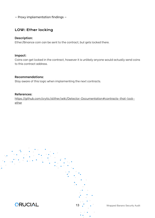— Proxy implementation findings —

## LOW: Ether locking

#### **Description:**

Ether/Binance coin can be sent to the contract, but gets locked there.

#### **Impact:**

Coins can get locked in the contract, however it is unlikely anyone would actually send coins to this contract address.

#### **Recommendations:**

Stay aware of this logic when implementing the next contracts.

#### **References:**

htt[ps://github.com/crytic/slither/wiki/Detector-Documentation#contracts-that-lock](https://github.com/crytic/slither/wiki/Detector-Documentation#contracts-that-lock-ether)[ether](https://github.com/crytic/slither/wiki/Detector-Documentation#contracts-that-lock-ether)



13 . Wrapped Banano Security Audit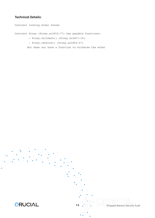Contract locking ether found: Contract Proxy (Proxy.sol#12-77) has payable functions: - Proxy.fallback() (Proxy.sol#17-19) - Proxy.receive() (Proxy.sol#25-27) But does not have a function to withdraw the ether

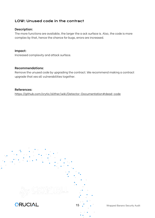## LOW: Unused code in the contract

#### **Description:**

The more functions are available, the larger the a ack surface is. Also, the code is more complex by that, hence the chance for bugs, errors are increased.

**Impact:** Increased complexity and attack surface.

#### **Recommendations:**

Remove the unused code by upgrading the contract. We recommend making a contract upgrade that xes all vulnerabilities together.

**References:** htt[ps://github.com/crytic/slither/wiki/Detector-Documentation#dead-code](https://github.com/crytic/slither/wiki/Detector-Documentation#dead-code)



15 . Wrapped Banano Security Audit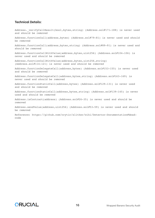Address. verifyCallResult(bool,bytes,string) (Address.sol#171-188) is never used and should be removed Address.functionCall(address,bytes) (Address.sol#79-81) is never used and should be removed Address.functionCall(address,bytes,string) (Address.sol#89-91) is never used and should be removed Address.functionCallWithValue(address,bytes,uint256) (Address.sol#104-106) is never used and should be removed Address.functionCallWithValue(address,bytes,uint256,string) (Address.sol#114-121) is never used and should be removed Address.functionDelegateCall(address,bytes) (Address.sol#153-155) is never used and should be removed Address.functionDelegateCall(address,bytes,string) (Address.sol#163-169) is never used and should be removed Address.functionStaticCall(address,bytes) (Address.sol#129-131) is never used and should be removed Address.functionStaticCall(address,bytes,string) (Address.sol#139-145) is never used and should be removed Address.isContract(address) (Address.sol#26-35) is never used and should be removed

Address.sendValue(address,uint256) (Address.sol#53-59) is never used and should be removed

Reference: https://github.com/crytic/slither/wiki/Detector-Documentation#deadcode

**ORUCIAL**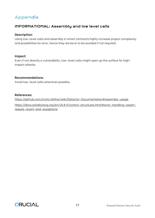# Appendix

## INFORMATIONAL: Assembly and low level calls

#### **Description:**

Using low-level calls and assembly in smart contracts highly increase project complexity and possibilities for error, hence they are be er to be avoided if not required.

#### **Impact:**

Even if not directly a vulnerability, low-level calls might open up the surface for highimpact attacks.

#### **Recommendations:**

Avoid low-level calls whenever possible.

#### **References:**

htt[ps://github.com/crytic/slither/wiki/Detector-Documentation#assembly-usage](https://github.com/crytic/slither/wiki/Detector-Documentation#assembly-usage) htt[ps://docs.soliditylang.org/en/v0.8.9/control-structures.html#error-handling-assert](https://docs.soliditylang.org/en/v0.8.9/control-structures.html#error-handling-assert-require-revert-and-exceptions)[require-revert-and-exceptions](https://docs.soliditylang.org/en/v0.8.9/control-structures.html#error-handling-assert-require-revert-and-exceptions)

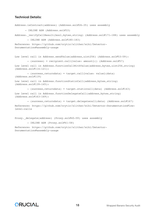```
Address.isContract(address) (Address.sol#26-35) uses assembly
       - INLINE ASM (Address.sol#33)
Address. verifyCallResult(bool,bytes,string) (Address.sol#171-188) uses assembly
         - INLINE ASM (Address.sol#180-183)
Reference: https://github.com/crytic/slither/wiki/Detector-
Documentation#assembly-usage
Low level call in Address.sendValue(address,uint256) (Address.sol#53-59):
         - (success) = recipient.call{value: amount}() (Address.sol#57)
Low level call in Address.functionCallWithValue(address, bytes, uint256, string)
(Address.sol#114-121):
         - (success,returndata) = target.call{value: value}(data) 
(Address.sol#119)
Low level call in Address.functionStaticCall(address, bytes, string)
(Address.sol#139-145):
         - (success,returndata) = target.staticcall(data) (Address.sol#143)
Low level call in Address.functionDelegateCall(address, bytes, string)
(Address.sol#163-169):
         - (success,returndata) = target.delegatecall(data) (Address.sol#167)
Reference: https://github.com/crytic/slither/wiki/Detector-Documentation#low-
level-calls
Proxy. delegate(address) (Proxy.sol#40-59) uses assembly
         - INLINE ASM (Proxy.sol#41-58)
```
Reference: https://github.com/crytic/slither/wiki/Detector-Documentation#assembly-usage

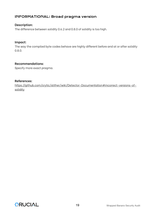## INFORMATIONAL: Broad pragma version

#### **Description:**

The difference between solidity 0.6.2 and 0.8.0 of solidity is too high.

#### **Impact:**

The way the compiled byte codes behave are highly different before and at or after solidity 0.8.0.

#### **Recommendations:**

Specify more exact pragma.

#### **References:**

htt[ps://github.com/crytic/slither/wiki/Detector-Documentation#incorrect-versions-of](https://github.com/crytic/slither/wiki/Detector-Documentation#incorrect-versions-of-solidity)[solidity](https://github.com/crytic/slither/wiki/Detector-Documentation#incorrect-versions-of-solidity)

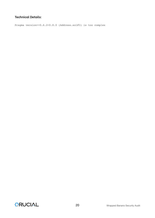Pragma version>=0.6.2<0.8.0 (Address.sol#3) is too complex

CRUCIAL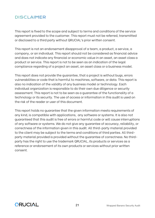# DISCLAIMER

This report is fixed to the scope and subject to terms and conditions of the service agreement provided to the customer. This report must not be referred, transmitted or disclosed to a third party without QRUCIAL's prior written consent.

This report is not an endorsement disapproval of a team, a product, a service, a company, or an individual. This report should not be considered as financial advice and does not indicate any financial or economic value in an asset, an asset class a product or service. This report is not to be seen as an indication of the legal compliance regarding of a project an asset, an asset class or a business model.

This report does not provide the guarantee, that a project is without bugs, errors vulnerabilities or code that is harmful to machines, software, or data. This report is also no indication of the validity of any business model or technology. Each individual organization is responsible to do their own due diligence or security assessment. This report is not to be seen as a guarantee of the functionality of a technology or its security. The use of access or information in this audit is used on the risk of the reader or user of this document.

This report holds no guarantee that the given information meets requirements of any kind, is compatible with applications, any software or systems. It is also not guaranteed that this audit is free of errors or harmful code or will cause interruptions of any software or systems. We do not give any guarantee of accuracy, reliability, or correctness of the information given in this audit. All third-party material provided to the client may be subject to the terms and conditions of third parties. All thirdparty material provided is provided without the guarantee of correctness. No thirdparty has the right to use the trademark QRUCIAL, its products or services as a reference or endorsement of its own products or services without prior written consent.

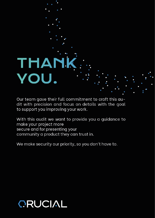# **THAN** VOU.

Our team gave their full commitment to craft this audit with precision and focus on details with the goal to support you improving your work.

With this audit we want to provide you a guidance to make your project more secure and for presenting your community a product they can trust in.

We make security our priority, so you don't have to.